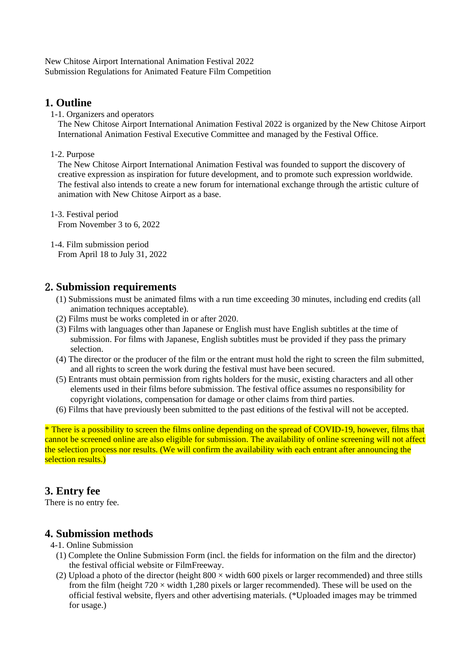New Chitose Airport International Animation Festival 2022 Submission Regulations for Animated Feature Film Competition

## **1. Outline**

1-1. Organizers and operators

The New Chitose Airport International Animation Festival 2022 is organized by the New Chitose Airport International Animation Festival Executive Committee and managed by the Festival Office.

1-2. Purpose

The New Chitose Airport International Animation Festival was founded to support the discovery of creative expression as inspiration for future development, and to promote such expression worldwide. The festival also intends to create a new forum for international exchange through the artistic culture of animation with New Chitose Airport as a base.

1-3. Festival period From November 3 to 6, 2022

1-4. Film submission period From April 18 to July 31, 2022

## 2**. Submission requirements**

- (1) Submissions must be animated films with a run time exceeding 30 minutes, including end credits (all animation techniques acceptable).
- (2) Films must be works completed in or after 2020.
- (3) Films with languages other than Japanese or English must have English subtitles at the time of submission. For films with Japanese, English subtitles must be provided if they pass the primary selection.
- (4) The director or the producer of the film or the entrant must hold the right to screen the film submitted, and all rights to screen the work during the festival must have been secured.
- (5) Entrants must obtain permission from rights holders for the music, existing characters and all other elements used in their films before submission. The festival office assumes no responsibility for copyright violations, compensation for damage or other claims from third parties.
- (6) Films that have previously been submitted to the past editions of the festival will not be accepted.

\* There is a possibility to screen the films online depending on the spread of COVID-19, however, films that cannot be screened online are also eligible for submission. The availability of online screening will not affect the selection process nor results. (We will confirm the availability with each entrant after announcing the selection results.)

# **3. Entry fee**

There is no entry fee.

## **4. Submission methods**

- 4-1. Online Submission
	- (1) Complete the Online Submission Form (incl. the fields for information on the film and the director) the festival official website or FilmFreeway.
	- (2) Upload a photo of the director (height  $800 \times$  width 600 pixels or larger recommended) and three stills from the film (height  $720 \times$  width 1,280 pixels or larger recommended). These will be used on the official festival website, flyers and other advertising materials. (\*Uploaded images may be trimmed for usage.)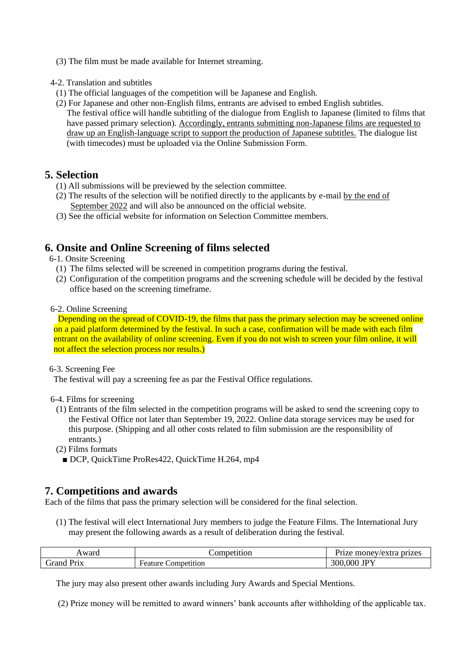- (3) The film must be made available for Internet streaming.
- 4-2. Translation and subtitles
- (1) The official languages of the competition will be Japanese and English.
- (2) For Japanese and other non-English films, entrants are advised to embed English subtitles. The festival office will handle subtitling of the dialogue from English to Japanese (limited to films that have passed primary selection). Accordingly, entrants submitting non-Japanese films are requested to draw up an English-language script to support the production of Japanese subtitles. The dialogue list (with timecodes) must be uploaded via the Online Submission Form.

## **5. Selection**

- (1) All submissions will be previewed by the selection committee.
- (2) The results of the selection will be notified directly to the applicants by e-mail by the end of September 2022 and will also be announced on the official website.
- (3) See the official website for information on Selection Committee members.

# **6. Onsite and Online Screening of films selected**

- 6-1. Onsite Screening
	- (1) The films selected will be screened in competition programs during the festival.
	- (2) Configuration of the competition programs and the screening schedule will be decided by the festival office based on the screening timeframe.

#### 6-2. Online Screening

Depending on the spread of COVID-19, the films that pass the primary selection may be screened online on a paid platform determined by the festival. In such a case, confirmation will be made with each film entrant on the availability of online screening. Even if you do not wish to screen your film online, it will not affect the selection process nor results.)

#### 6-3. Screening Fee

The festival will pay a screening fee as par the Festival Office regulations.

#### 6-4. Films for screening

- (1) Entrants of the film selected in the competition programs will be asked to send the screening copy to the Festival Office not later than September 19, 2022. Online data storage services may be used for this purpose. (Shipping and all other costs related to film submission are the responsibility of entrants.)
- (2) Films formats
	- DCP, QuickTime ProRes422, QuickTime H.264, mp4

## **7. Competitions and awards**

Each of the films that pass the primary selection will be considered for the final selection.

(1) The festival will elect International Jury members to judge the Feature Films. The International Jury may present the following awards as a result of deliberation during the festival.

| Award | Competition | prizes<br>rize.<br>money/extra |
|-------|-------------|--------------------------------|
| irand | Competition | 300,000                        |
| Prix  | Feature     | <b>JPY</b>                     |

The jury may also present other awards including Jury Awards and Special Mentions.

(2) Prize money will be remitted to award winners' bank accounts after withholding of the applicable tax.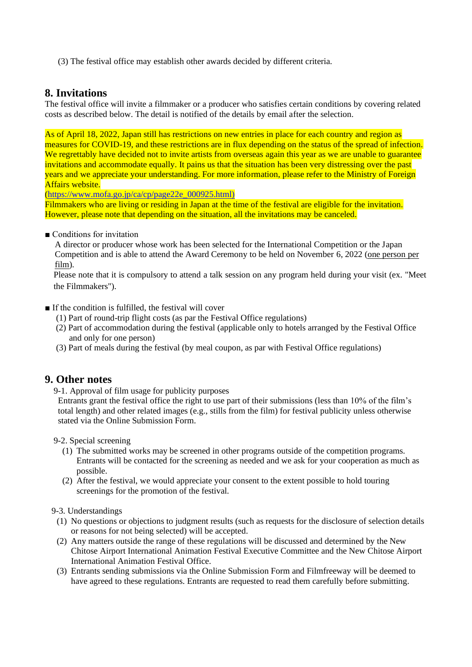(3) The festival office may establish other awards decided by different criteria.

### **8. Invitations**

The festival office will invite a filmmaker or a producer who satisfies certain conditions by covering related costs as described below. The detail is notified of the details by email after the selection.

As of April 18, 2022, Japan still has restrictions on new entries in place for each country and region as measures for COVID-19, and these restrictions are in flux depending on the status of the spread of infection. We regrettably have decided not to invite artists from overseas again this year as we are unable to guarantee invitations and accommodate equally. It pains us that the situation has been very distressing over the past years and we appreciate your understanding. For more information, please refer to the Ministry of Foreign Affairs website.

[\(https://www.mofa.go.jp/ca/cp/page22e\\_000925.html\)](https://www.mofa.go.jp/ca/cp/page22e_000925.html))

Filmmakers who are living or residing in Japan at the time of the festival are eligible for the invitation. However, please note that depending on the situation, all the invitations may be canceled.

■ Conditions for invitation

A director or producer whose work has been selected for the International Competition or the Japan Competition and is able to attend the Award Ceremony to be held on November 6, 2022 (one person per film).

Please note that it is compulsory to attend a talk session on any program held during your visit (ex. "Meet the Filmmakers").

■ If the condition is fulfilled, the festival will cover

- (1) Part of round-trip flight costs (as par the Festival Office regulations)
- (2) Part of accommodation during the festival (applicable only to hotels arranged by the Festival Office and only for one person)
- (3) Part of meals during the festival (by meal coupon, as par with Festival Office regulations)

### **9. Other notes**

9-1. Approval of film usage for publicity purposes

Entrants grant the festival office the right to use part of their submissions (less than 10% of the film's total length) and other related images (e.g., stills from the film) for festival publicity unless otherwise stated via the Online Submission Form.

9-2. Special screening

- (1) The submitted works may be screened in other programs outside of the competition programs. Entrants will be contacted for the screening as needed and we ask for your cooperation as much as possible.
- (2) After the festival, we would appreciate your consent to the extent possible to hold touring screenings for the promotion of the festival.

9-3. Understandings

- (1) No questions or objections to judgment results (such as requests for the disclosure of selection details or reasons for not being selected) will be accepted.
- (2) Any matters outside the range of these regulations will be discussed and determined by the New Chitose Airport International Animation Festival Executive Committee and the New Chitose Airport International Animation Festival Office.
- (3) Entrants sending submissions via the Online Submission Form and Filmfreeway will be deemed to have agreed to these regulations. Entrants are requested to read them carefully before submitting.